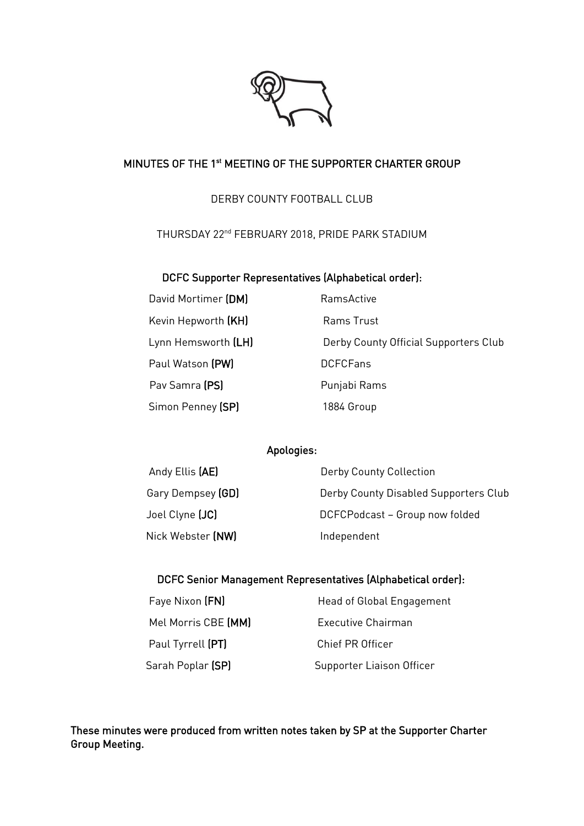

# MINUTES OF THE 1st MEETING OF THE SUPPORTER CHARTER GROUP

# DERBY COUNTY FOOTBALL CLUB

THURSDAY 22nd FEBRUARY 2018, PRIDE PARK STADIUM

### DCFC Supporter Representatives (Alphabetical order):

| David Mortimer (DM) |  |
|---------------------|--|
| Kevin Hepworth (KH) |  |
| Lynn Hemsworth (LH) |  |
| Paul Watson (PW)    |  |
| Pav Samra (PS)      |  |
| Simon Penney (SP)   |  |

RamsActive Rams Trust Derby County Official Supporters Club DCFCFans Punjabi Rams ey (SP) **1884 Group** 

# Apologies:

| Andy Ellis (AE)   | Derby County Collection               |
|-------------------|---------------------------------------|
| Gary Dempsey (GD) | Derby County Disabled Supporters Club |
| Joel Clyne (JC)   | DCFCPodcast - Group now folded        |
| Nick Webster (NW) | Independent                           |

# DCFC Senior Management Representatives (Alphabetical order):

| Faye Nixon (FN)          |
|--------------------------|
| Mel Morris CBE (MM       |
| Paul Tyrrell (PT)        |
| Sarah Poplar <b>(SP)</b> |

Head of Global Engagement **M** Executive Chairman Chief PR Officer Supporter Liaison Officer

These minutes were produced from written notes taken by SP at the Supporter Charter Group Meeting.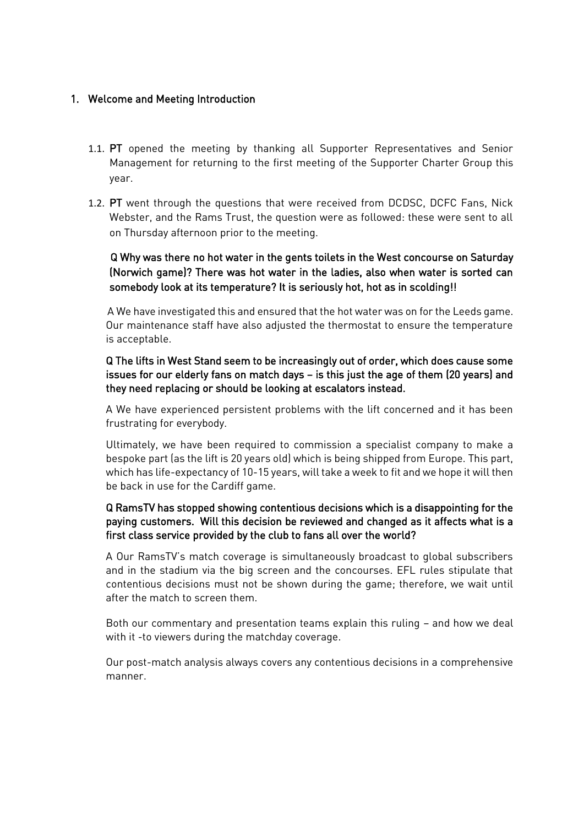# 1. Welcome and Meeting Introduction

- 1.1. PT opened the meeting by thanking all Supporter Representatives and Senior Management for returning to the first meeting of the Supporter Charter Group this year.
- 1.2. PT went through the questions that were received from DCDSC, DCFC Fans, Nick Webster, and the Rams Trust, the question were as followed: these were sent to all on Thursday afternoon prior to the meeting.

# Q Why was there no hot water in the gents toilets in the West concourse on Saturday (Norwich game)? There was hot water in the ladies, also when water is sorted can somebody look at its temperature? It is seriously hot, hot as in scolding!!

A We have investigated this and ensured that the hot water was on for the Leeds game. Our maintenance staff have also adjusted the thermostat to ensure the temperature is acceptable.

Q The lifts in West Stand seem to be increasingly out of order, which does cause some issues for our elderly fans on match days – is this just the age of them (20 years) and they need replacing or should be looking at escalators instead.

A We have experienced persistent problems with the lift concerned and it has been frustrating for everybody.

Ultimately, we have been required to commission a specialist company to make a bespoke part (as the lift is 20 years old) which is being shipped from Europe. This part, which has life-expectancy of 10-15 years, will take a week to fit and we hope it will then be back in use for the Cardiff game.

# Q RamsTV has stopped showing contentious decisions which is a disappointing for the paying customers. Will this decision be reviewed and changed as it affects what is a first class service provided by the club to fans all over the world?

A Our RamsTV's match coverage is simultaneously broadcast to global subscribers and in the stadium via the big screen and the concourses. EFL rules stipulate that contentious decisions must not be shown during the game; therefore, we wait until after the match to screen them.

Both our commentary and presentation teams explain this ruling – and how we deal with it -to viewers during the matchday coverage.

Our post-match analysis always covers any contentious decisions in a comprehensive manner.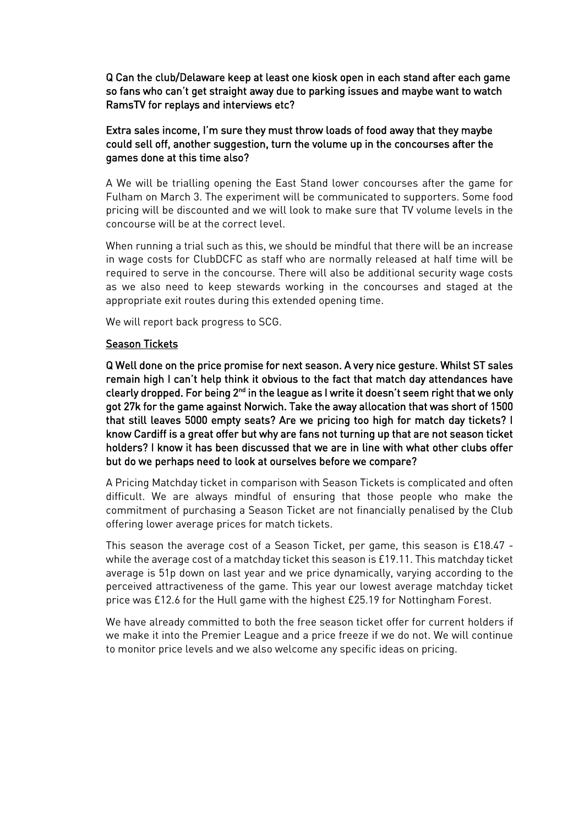Q Can the club/Delaware keep at least one kiosk open in each stand after each game so fans who can't get straight away due to parking issues and maybe want to watch RamsTV for replays and interviews etc?

## Extra sales income, I'm sure they must throw loads of food away that they maybe could sell off, another suggestion, turn the volume up in the concourses after the games done at this time also?

A We will be trialling opening the East Stand lower concourses after the game for Fulham on March 3. The experiment will be communicated to supporters. Some food pricing will be discounted and we will look to make sure that TV volume levels in the concourse will be at the correct level.

When running a trial such as this, we should be mindful that there will be an increase in wage costs for ClubDCFC as staff who are normally released at half time will be required to serve in the concourse. There will also be additional security wage costs as we also need to keep stewards working in the concourses and staged at the appropriate exit routes during this extended opening time.

We will report back progress to SCG.

#### Season Tickets

Q Well done on the price promise for next season. A very nice gesture. Whilst ST sales remain high I can't help think it obvious to the fact that match day attendances have clearly dropped. For being 2<sup>nd</sup> in the league as I write it doesn't seem right that we only got 27k for the game against Norwich. Take the away allocation that was short of 1500 that still leaves 5000 empty seats? Are we pricing too high for match day tickets? I know Cardiff is a great offer but why are fans not turning up that are not season ticket holders? I know it has been discussed that we are in line with what other clubs offer but do we perhaps need to look at ourselves before we compare?

A Pricing Matchday ticket in comparison with Season Tickets is complicated and often difficult. We are always mindful of ensuring that those people who make the commitment of purchasing a Season Ticket are not financially penalised by the Club offering lower average prices for match tickets.

This season the average cost of a Season Ticket, per game, this season is £18.47 while the average cost of a matchday ticket this season is £19.11. This matchday ticket average is 51p down on last year and we price dynamically, varying according to the perceived attractiveness of the game. This year our lowest average matchday ticket price was £12.6 for the Hull game with the highest £25.19 for Nottingham Forest.

We have already committed to both the free season ticket offer for current holders if we make it into the Premier League and a price freeze if we do not. We will continue to monitor price levels and we also welcome any specific ideas on pricing.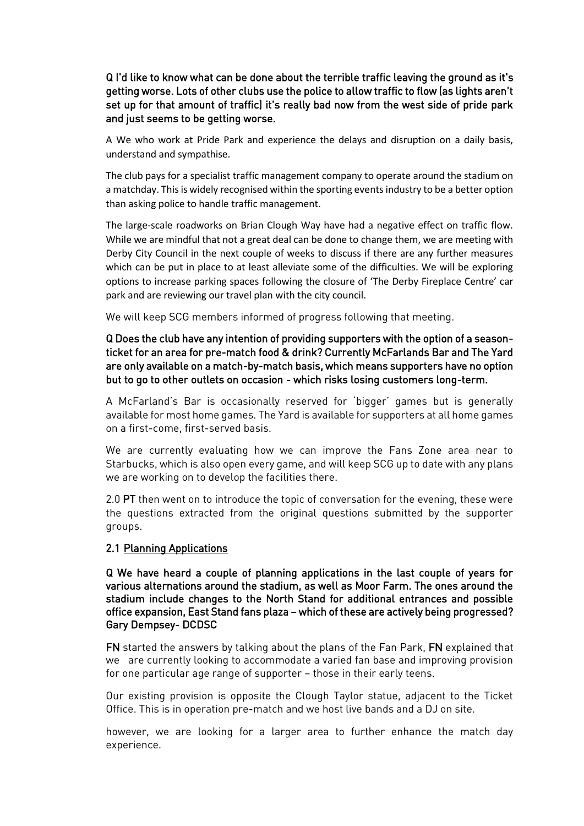Q I'd like to know what can be done about the terrible traffic leaving the ground as it's getting worse. Lots of other clubs use the police to allow traffic to flow (as lights aren't set up for that amount of traffic) it's really bad now from the west side of pride park and just seems to be getting worse.

A We who work at Pride Park and experience the delays and disruption on a daily basis, understand and sympathise.

The club pays for a specialist traffic management company to operate around the stadium on a matchday. This is widely recognised within the sporting events industry to be a better option than asking police to handle traffic management.

The large-scale roadworks on Brian Clough Way have had a negative effect on traffic flow. While we are mindful that not a great deal can be done to change them, we are meeting with Derby City Council in the next couple of weeks to discuss if there are any further measures which can be put in place to at least alleviate some of the difficulties. We will be exploring options to increase parking spaces following the closure of 'The Derby Fireplace Centre' car park and are reviewing our travel plan with the city council.

We will keep SCG members informed of progress following that meeting.

Q Does the club have any intention of providing supporters with the option of a seasonticket for an area for pre-match food & drink? Currently McFarlands Bar and The Yard are only available on a match-by-match basis, which means supporters have no option but to go to other outlets on occasion - which risks losing customers long-term.

A McFarland's Bar is occasionally reserved for 'bigger' games but is generally available for most home games. The Yard is available for supporters at all home games on a first-come, first-served basis.

We are currently evaluating how we can improve the Fans Zone area near to Starbucks, which is also open every game, and will keep SCG up to date with any plans we are working on to develop the facilities there.

2.0 PT then went on to introduce the topic of conversation for the evening, these were the questions extracted from the original questions submitted by the supporter groups.

# 2.1 Planning Applications

Q We have heard a couple of planning applications in the last couple of years for various alternations around the stadium, as well as Moor Farm. The ones around the stadium include changes to the North Stand for additional entrances and possible office expansion, East Stand fans plaza – which of these are actively being progressed? Gary Dempsey- DCDSC

FN started the answers by talking about the plans of the Fan Park, FN explained that we are currently looking to accommodate a varied fan base and improving provision for one particular age range of supporter – those in their early teens.

Our existing provision is opposite the Clough Taylor statue, adjacent to the Ticket Office. This is in operation pre-match and we host live bands and a DJ on site.

however, we are looking for a larger area to further enhance the match day experience.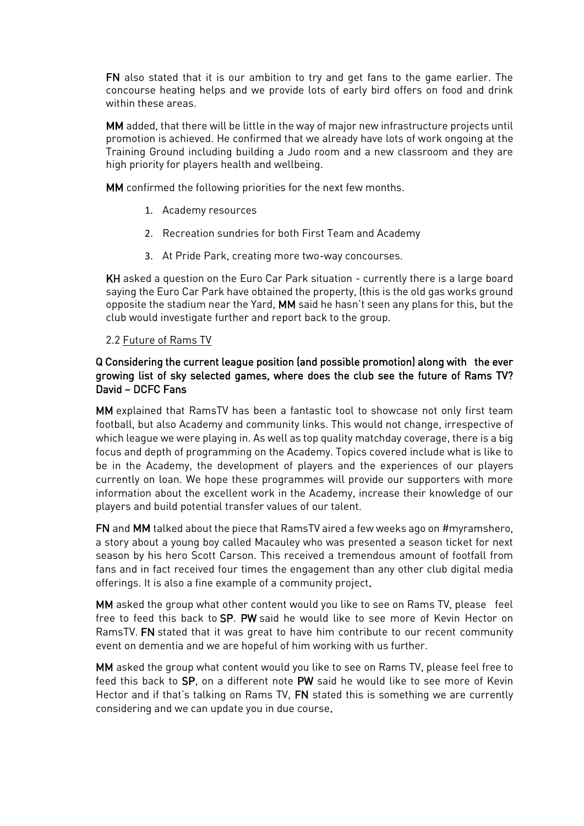FN also stated that it is our ambition to try and get fans to the game earlier. The concourse heating helps and we provide lots of early bird offers on food and drink within these areas.

MM added, that there will be little in the way of major new infrastructure projects until promotion is achieved. He confirmed that we already have lots of work ongoing at the Training Ground including building a Judo room and a new classroom and they are high priority for players health and wellbeing.

MM confirmed the following priorities for the next few months.

- 1. Academy resources
- 2. Recreation sundries for both First Team and Academy
- 3. At Pride Park, creating more two-way concourses.

KH asked a question on the Euro Car Park situation - currently there is a large board saying the Euro Car Park have obtained the property, (this is the old gas works ground opposite the stadium near the Yard, MM said he hasn't seen any plans for this, but the club would investigate further and report back to the group.

### 2.2 Future of Rams TV

### Q Considering the current league position (and possible promotion) along with the ever growing list of sky selected games, where does the club see the future of Rams TV? David – DCFC Fans

MM explained that RamsTV has been a fantastic tool to showcase not only first team football, but also Academy and community links. This would not change, irrespective of which league we were playing in. As well as top quality matchday coverage, there is a big focus and depth of programming on the Academy. Topics covered include what is like to be in the Academy, the development of players and the experiences of our players currently on loan. We hope these programmes will provide our supporters with more information about the excellent work in the Academy, increase their knowledge of our players and build potential transfer values of our talent.

FN and MM talked about the piece that RamsTV aired a few weeks ago on #myramshero, a story about a young boy called Macauley who was presented a season ticket for next season by his hero Scott Carson. This received a tremendous amount of footfall from fans and in fact received four times the engagement than any other club digital media offerings. It is also a fine example of a community project.

MM asked the group what other content would you like to see on Rams TV, please feel free to feed this back to SP. PW said he would like to see more of Kevin Hector on RamsTV. FN stated that it was great to have him contribute to our recent community event on dementia and we are hopeful of him working with us further.

MM asked the group what content would you like to see on Rams TV, please feel free to feed this back to SP, on a different note PW said he would like to see more of Kevin Hector and if that's talking on Rams TV, FN stated this is something we are currently considering and we can update you in due course.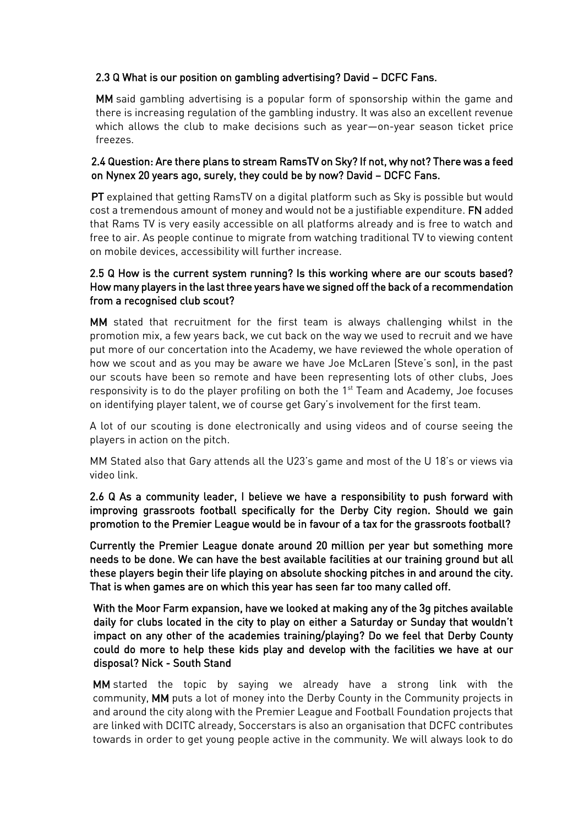# 2.3 Q What is our position on gambling advertising? David – DCFC Fans.

MM said gambling advertising is a popular form of sponsorship within the game and there is increasing regulation of the gambling industry. It was also an excellent revenue which allows the club to make decisions such as year—on-year season ticket price freezes.

## 2.4 Question: Are there plans to stream RamsTV on Sky? If not, why not? There was a feed on Nynex 20 years ago, surely, they could be by now? David – DCFC Fans.

PT explained that getting RamsTV on a digital platform such as Sky is possible but would cost a tremendous amount of money and would not be a justifiable expenditure. FN added that Rams TV is very easily accessible on all platforms already and is free to watch and free to air. As people continue to migrate from watching traditional TV to viewing content on mobile devices, accessibility will further increase.

### 2.5 Q How is the current system running? Is this working where are our scouts based? How many players in the last three years have we signed off the back of a recommendation from a recognised club scout?

MM stated that recruitment for the first team is always challenging whilst in the promotion mix, a few years back, we cut back on the way we used to recruit and we have put more of our concertation into the Academy, we have reviewed the whole operation of how we scout and as you may be aware we have Joe McLaren (Steve's son), in the past our scouts have been so remote and have been representing lots of other clubs, Joes responsivity is to do the player profiling on both the 1<sup>st</sup> Team and Academy, Joe focuses on identifying player talent, we of course get Gary's involvement for the first team.

A lot of our scouting is done electronically and using videos and of course seeing the players in action on the pitch.

MM Stated also that Gary attends all the U23's game and most of the U 18's or views via video link.

2.6 Q As a community leader, I believe we have a responsibility to push forward with improving grassroots football specifically for the Derby City region. Should we gain promotion to the Premier League would be in favour of a tax for the grassroots football?

Currently the Premier League donate around 20 million per year but something more needs to be done. We can have the best available facilities at our training ground but all these players begin their life playing on absolute shocking pitches in and around the city. That is when games are on which this year has seen far too many called off.

With the Moor Farm expansion, have we looked at making any of the 3g pitches available daily for clubs located in the city to play on either a Saturday or Sunday that wouldn't impact on any other of the academies training/playing? Do we feel that Derby County could do more to help these kids play and develop with the facilities we have at our disposal? Nick - South Stand

MM started the topic by saying we already have a strong link with the community, MM puts a lot of money into the Derby County in the Community projects in and around the city along with the Premier League and Football Foundation projects that are linked with DCITC already, Soccerstars is also an organisation that DCFC contributes towards in order to get young people active in the community. We will always look to do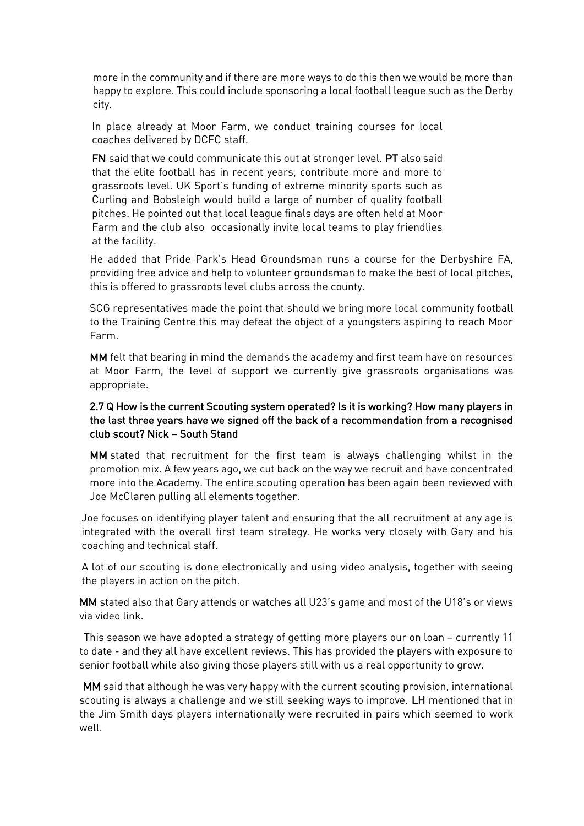more in the community and if there are more ways to do this then we would be more than happy to explore. This could include sponsoring a local football league such as the Derby city.

In place already at Moor Farm, we conduct training courses for local coaches delivered by DCFC staff.

FN said that we could communicate this out at stronger level. PT also said that the elite football has in recent years, contribute more and more to grassroots level. UK Sport's funding of extreme minority sports such as Curling and Bobsleigh would build a large of number of quality football pitches. He pointed out that local league finals days are often held at Moor Farm and the club also occasionally invite local teams to play friendlies at the facility.

He added that Pride Park's Head Groundsman runs a course for the Derbyshire FA, providing free advice and help to volunteer groundsman to make the best of local pitches, this is offered to grassroots level clubs across the county.

SCG representatives made the point that should we bring more local community football to the Training Centre this may defeat the object of a youngsters aspiring to reach Moor Farm.

MM felt that bearing in mind the demands the academy and first team have on resources at Moor Farm, the level of support we currently give grassroots organisations was appropriate.

### 2.7 Q How is the current Scouting system operated? Is it is working? How many players in the last three years have we signed off the back of a recommendation from a recognised club scout? Nick – South Stand

MM stated that recruitment for the first team is always challenging whilst in the promotion mix. A few years ago, we cut back on the way we recruit and have concentrated more into the Academy. The entire scouting operation has been again been reviewed with Joe McClaren pulling all elements together.

Joe focuses on identifying player talent and ensuring that the all recruitment at any age is integrated with the overall first team strategy. He works very closely with Gary and his coaching and technical staff.

A lot of our scouting is done electronically and using video analysis, together with seeing the players in action on the pitch.

MM stated also that Gary attends or watches all U23's game and most of the U18's or views via video link.

This season we have adopted a strategy of getting more players our on loan – currently 11 to date - and they all have excellent reviews. This has provided the players with exposure to senior football while also giving those players still with us a real opportunity to grow.

MM said that although he was very happy with the current scouting provision, international scouting is always a challenge and we still seeking ways to improve. LH mentioned that in the Jim Smith days players internationally were recruited in pairs which seemed to work well.